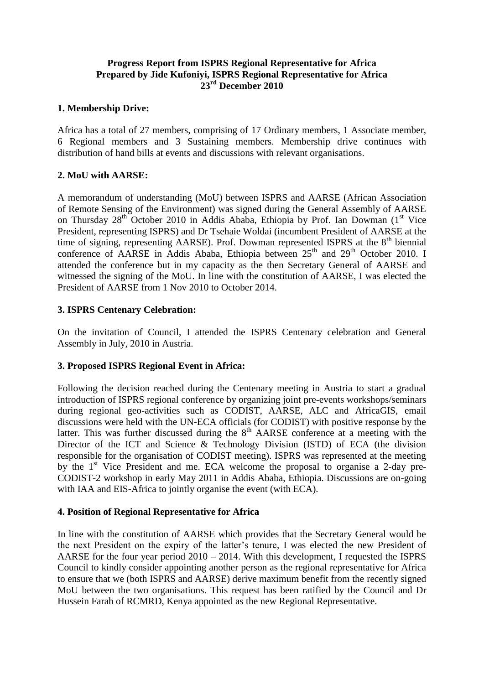### **Progress Report from ISPRS Regional Representative for Africa Prepared by Jide Kufoniyi, ISPRS Regional Representative for Africa 23 rd December 2010**

#### **1. Membership Drive:**

Africa has a total of 27 members, comprising of 17 Ordinary members, 1 Associate member, 6 Regional members and 3 Sustaining members. Membership drive continues with distribution of hand bills at events and discussions with relevant organisations.

#### **2. MoU with AARSE:**

A memorandum of understanding (MoU) between ISPRS and AARSE (African Association of Remote Sensing of the Environment) was signed during the General Assembly of AARSE on Thursday  $28<sup>th</sup>$  October 2010 in Addis Ababa, Ethiopia by Prof. Ian Dowman (1<sup>st</sup> Vice President, representing ISPRS) and Dr Tsehaie Woldai (incumbent President of AARSE at the time of signing, representing  $AARSE$ ). Prof. Dowman represented ISPRS at the  $8<sup>th</sup>$  biennial conference of AARSE in Addis Ababa, Ethiopia between 25<sup>th</sup> and 29<sup>th</sup> October 2010. I attended the conference but in my capacity as the then Secretary General of AARSE and witnessed the signing of the MoU. In line with the constitution of AARSE, I was elected the President of AARSE from 1 Nov 2010 to October 2014.

#### **3. ISPRS Centenary Celebration:**

On the invitation of Council, I attended the ISPRS Centenary celebration and General Assembly in July, 2010 in Austria.

## **3. Proposed ISPRS Regional Event in Africa:**

Following the decision reached during the Centenary meeting in Austria to start a gradual introduction of ISPRS regional conference by organizing joint pre-events workshops/seminars during regional geo-activities such as CODIST, AARSE, ALC and AfricaGIS, email discussions were held with the UN-ECA officials (for CODIST) with positive response by the latter. This was further discussed during the  $8<sup>th</sup>$  AARSE conference at a meeting with the Director of the ICT and Science & Technology Division (ISTD) of ECA (the division responsible for the organisation of CODIST meeting). ISPRS was represented at the meeting by the  $1<sup>st</sup>$  Vice President and me. ECA welcome the proposal to organise a 2-day pre-CODIST-2 workshop in early May 2011 in Addis Ababa, Ethiopia. Discussions are on-going with IAA and EIS-Africa to jointly organise the event (with ECA).

#### **4. Position of Regional Representative for Africa**

In line with the constitution of AARSE which provides that the Secretary General would be the next President on the expiry of the latter's tenure, I was elected the new President of AARSE for the four year period 2010 – 2014. With this development, I requested the ISPRS Council to kindly consider appointing another person as the regional representative for Africa to ensure that we (both ISPRS and AARSE) derive maximum benefit from the recently signed MoU between the two organisations. This request has been ratified by the Council and Dr Hussein Farah of RCMRD, Kenya appointed as the new Regional Representative.